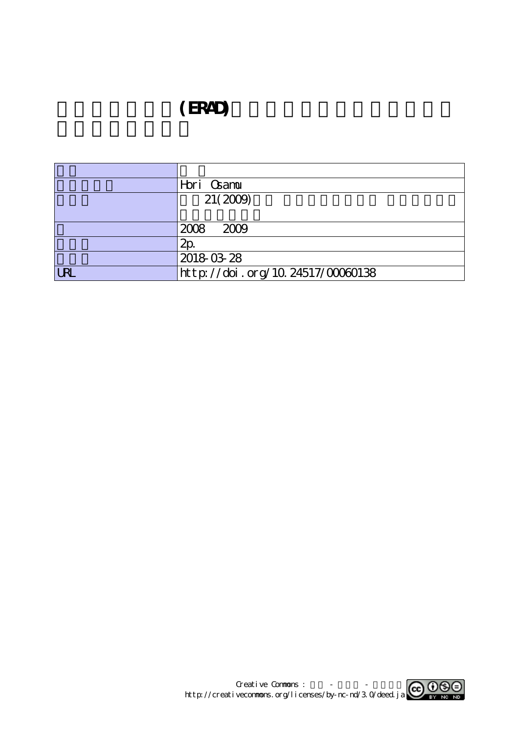## (ERAD)

|            | Hori Csamu                       |
|------------|----------------------------------|
|            | 21(2009)                         |
|            |                                  |
|            | 2008 2009                        |
|            | 2p                               |
|            | 2018-03-28                       |
| <b>URL</b> | http://doi.org/10.24517/00060138 |

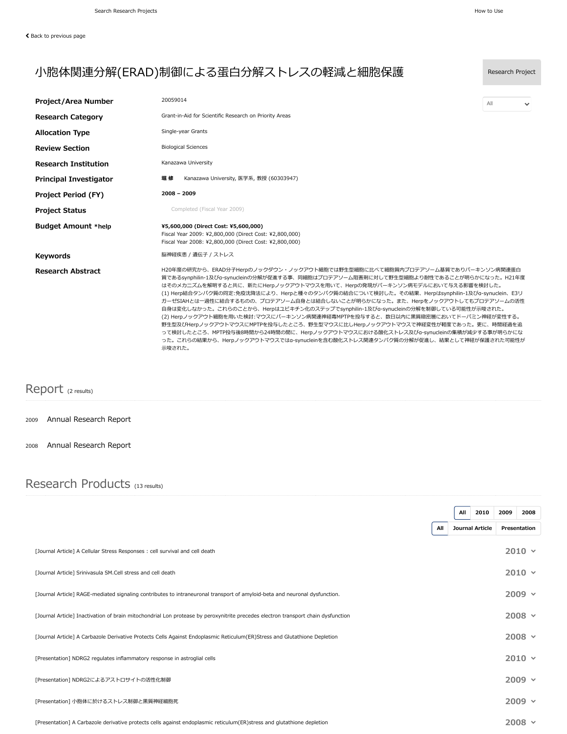| <b>Project/Area Number</b>    | 20059014                                                                                                                                                                                                                                                                                                                                                                                                                                                                                                                                                                                                                                                                                                                                                                                                                                                             | All | $\checkmark$ |  |  |
|-------------------------------|----------------------------------------------------------------------------------------------------------------------------------------------------------------------------------------------------------------------------------------------------------------------------------------------------------------------------------------------------------------------------------------------------------------------------------------------------------------------------------------------------------------------------------------------------------------------------------------------------------------------------------------------------------------------------------------------------------------------------------------------------------------------------------------------------------------------------------------------------------------------|-----|--------------|--|--|
| <b>Research Category</b>      | Grant-in-Aid for Scientific Research on Priority Areas                                                                                                                                                                                                                                                                                                                                                                                                                                                                                                                                                                                                                                                                                                                                                                                                               |     |              |  |  |
| <b>Allocation Type</b>        | Single-year Grants                                                                                                                                                                                                                                                                                                                                                                                                                                                                                                                                                                                                                                                                                                                                                                                                                                                   |     |              |  |  |
| <b>Review Section</b>         | <b>Biological Sciences</b>                                                                                                                                                                                                                                                                                                                                                                                                                                                                                                                                                                                                                                                                                                                                                                                                                                           |     |              |  |  |
| <b>Research Institution</b>   | Kanazawa University                                                                                                                                                                                                                                                                                                                                                                                                                                                                                                                                                                                                                                                                                                                                                                                                                                                  |     |              |  |  |
| <b>Principal Investigator</b> | 堀 修<br>Kanazawa University, 医学系, 教授 (60303947)                                                                                                                                                                                                                                                                                                                                                                                                                                                                                                                                                                                                                                                                                                                                                                                                                       |     |              |  |  |
| <b>Project Period (FY)</b>    | $2008 - 2009$                                                                                                                                                                                                                                                                                                                                                                                                                                                                                                                                                                                                                                                                                                                                                                                                                                                        |     |              |  |  |
| <b>Project Status</b>         | Completed (Fiscal Year 2009)                                                                                                                                                                                                                                                                                                                                                                                                                                                                                                                                                                                                                                                                                                                                                                                                                                         |     |              |  |  |
| <b>Budget Amount *help</b>    | ¥5,600,000 (Direct Cost: ¥5,600,000)<br>Fiscal Year 2009: ¥2,800,000 (Direct Cost: ¥2,800,000)<br>Fiscal Year 2008: ¥2,800,000 (Direct Cost: ¥2,800,000)                                                                                                                                                                                                                                                                                                                                                                                                                                                                                                                                                                                                                                                                                                             |     |              |  |  |
| <b>Keywords</b>               | 脳神経疾患 / 遺伝子 / ストレス                                                                                                                                                                                                                                                                                                                                                                                                                                                                                                                                                                                                                                                                                                                                                                                                                                                   |     |              |  |  |
| <b>Research Abstract</b>      | H20年度の研究から、ERAD分子Herpのノックダウン・ノックアウト細胞では野生型細胞に比べて細胞質内プロテアソーム基質でありパーキンソン病関連蛋白<br>質であるsynphilin-1及びa-synucleinの分解が促進する事、同細胞はプロテアソーム阻害剤に対して野生型細胞より耐性であることが明らかになった。H21年度<br>はそのメカニズムを解明すると共に、新たにHerpノックアウトマウスを用いて、Herpの発現がパーキンソン病モデルにおいて与える影響を検討した。<br>(1) Herp結合タンパク質の同定:免疫沈降法により、Herpと種々のタンパク質の結合について検討した。その結果、Herpはsynphilin-1及びa-synuclein、E3リ<br>ガーゼSIAHとは一過性に結合するものの、プロテアソーム自身とは結合しないことが明らかになった。また、Herpをノックアウトしてもプロテアソームの活性<br>自身は変化しなかった。これらのことから、Herpはユビキチン化のステップでsynphilin-1及びa-synucleinの分解を制御している可能性が示唆された。<br>(2) Herpノックアウト細胞を用いた検討:マウスにパーキンソン病関連神経毒MPTPを投与すると、数日以内に黒質緻密層においてドーパミン神経が変性する。<br>野生型及びHerpノックアウトマウスにMPTPを投与したところ、野生型マウスに比しHerpノックアウトマウスで神経変性が軽度であった。更に、時間経過を追<br>って検討したところ、MPTP投与後8時間から24時間の間に、Herpノックアウトマウスにおける酸化ストレス及びa-synucleinの集積が減少する事が明らかにな<br>った。これらの結果から、Herpノックアウトマウスではa-synucleinを含む酸化ストレス関連タンパク質の分解が促進し、結果として神経が保護された可能性が<br>示唆された。 |     |              |  |  |

## Report (2 results)

## 2009 [Annual Research](https://kaken.nii.ac.jp/en/report/KAKENHI-PROJECT-20059014/200590142009jisseki/) Report

2008 [Annual Research](https://kaken.nii.ac.jp/en/report/KAKENHI-PROJECT-20059014/200590142008jisseki/) Report

## Research Products (13 results)

|                                                                                                                                   |     | All | 2010            | 2009 | 2008          |  |
|-----------------------------------------------------------------------------------------------------------------------------------|-----|-----|-----------------|------|---------------|--|
|                                                                                                                                   | All |     | Journal Article |      | Presentation  |  |
| [Journal Article] A Cellular Stress Responses: cell survival and cell death                                                       |     |     |                 |      | $2010 \times$ |  |
| [Journal Article] Srinivasula SM.Cell stress and cell death                                                                       |     |     |                 |      | $2010 \times$ |  |
| [Journal Article] RAGE-mediated signaling contributes to intraneuronal transport of amyloid-beta and neuronal dysfunction.        |     |     |                 |      | $2009 \times$ |  |
| [Journal Article] Inactivation of brain mitochondrial Lon protease by peroxynitrite precedes electron transport chain dysfunction |     |     |                 |      | $2008 \sim$   |  |
| [Journal Article] A Carbazole Derivative Protects Cells Against Endoplasmic Reticulum(ER)Stress and Glutathione Depletion         |     |     |                 |      | $2008$ $\sim$ |  |
| [Presentation] NDRG2 regulates inflammatory response in astroglial cells                                                          |     |     |                 |      | $2010 \times$ |  |
| [Presentation] NDRG2によるアストロサイトの活性化制御                                                                                              |     |     |                 |      | $2009 -$      |  |
| [Presentation] 小胞体に於けるストレス制御と黒質神経細胞死                                                                                              |     |     |                 |      | $2009 \times$ |  |
| [Presentation] A Carbazole derivative protects cells against endoplasmic reticulum(ER)stress and glutathione depletion            |     |     |                 |      | $2008 \times$ |  |